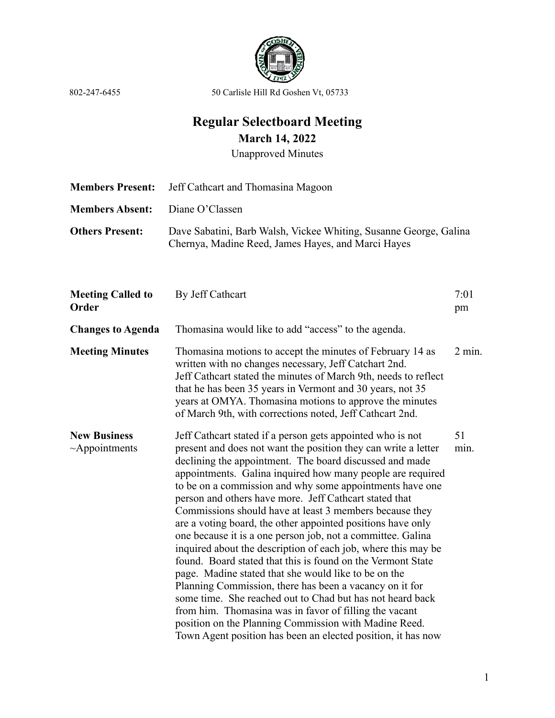

## **Regular Selectboard Meeting March 14, 2022**

Unapproved Minutes

**Members Present:** Jeff Cathcart and Thomasina Magoon **Members Absent:** Diane O'Classen **Others Present:** Dave Sabatini, Barb Walsh, Vickee Whiting, Susanne George, Galina Chernya, Madine Reed, James Hayes, and Marci Hayes

| <b>Meeting Called to</b><br>Order           | By Jeff Cathcart                                                                                                                                                                                                                                                                                                                                                                                                                                                                                                                                                                                                                                                                                                                                                                                                                                                                                                                                                                                                                                                        | 7:01<br>pm |
|---------------------------------------------|-------------------------------------------------------------------------------------------------------------------------------------------------------------------------------------------------------------------------------------------------------------------------------------------------------------------------------------------------------------------------------------------------------------------------------------------------------------------------------------------------------------------------------------------------------------------------------------------------------------------------------------------------------------------------------------------------------------------------------------------------------------------------------------------------------------------------------------------------------------------------------------------------------------------------------------------------------------------------------------------------------------------------------------------------------------------------|------------|
| <b>Changes to Agenda</b>                    | Thomasina would like to add "access" to the agenda.                                                                                                                                                                                                                                                                                                                                                                                                                                                                                                                                                                                                                                                                                                                                                                                                                                                                                                                                                                                                                     |            |
| <b>Meeting Minutes</b>                      | Thomasina motions to accept the minutes of February 14 as<br>written with no changes necessary, Jeff Catchart 2nd.<br>Jeff Cathcart stated the minutes of March 9th, needs to reflect<br>that he has been 35 years in Vermont and 30 years, not 35<br>years at OMYA. Thomasina motions to approve the minutes<br>of March 9th, with corrections noted, Jeff Cathcart 2nd.                                                                                                                                                                                                                                                                                                                                                                                                                                                                                                                                                                                                                                                                                               | $2$ min.   |
| <b>New Business</b><br>$~\sim$ Appointments | Jeff Cathcart stated if a person gets appointed who is not<br>present and does not want the position they can write a letter<br>declining the appointment. The board discussed and made<br>appointments. Galina inquired how many people are required<br>to be on a commission and why some appointments have one<br>person and others have more. Jeff Cathcart stated that<br>Commissions should have at least 3 members because they<br>are a voting board, the other appointed positions have only<br>one because it is a one person job, not a committee. Galina<br>inquired about the description of each job, where this may be<br>found. Board stated that this is found on the Vermont State<br>page. Madine stated that she would like to be on the<br>Planning Commission, there has been a vacancy on it for<br>some time. She reached out to Chad but has not heard back<br>from him. Thomasina was in favor of filling the vacant<br>position on the Planning Commission with Madine Reed.<br>Town Agent position has been an elected position, it has now | 51<br>min. |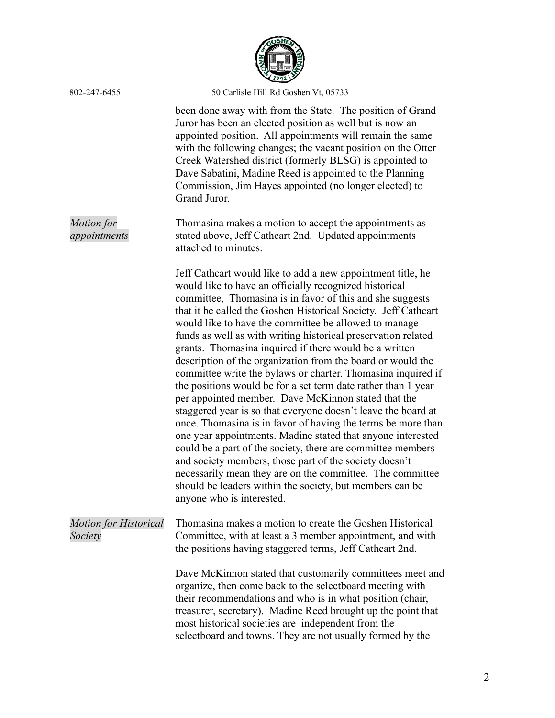

|                                         | (1792)                                                                                                                                                                                                                                                                                                                                                                                                                                                                                                                                                                                                                                                                                                                                                                                                                                                                                                                                                                                                                                                                                                                                                                         |
|-----------------------------------------|--------------------------------------------------------------------------------------------------------------------------------------------------------------------------------------------------------------------------------------------------------------------------------------------------------------------------------------------------------------------------------------------------------------------------------------------------------------------------------------------------------------------------------------------------------------------------------------------------------------------------------------------------------------------------------------------------------------------------------------------------------------------------------------------------------------------------------------------------------------------------------------------------------------------------------------------------------------------------------------------------------------------------------------------------------------------------------------------------------------------------------------------------------------------------------|
| 802-247-6455                            | 50 Carlisle Hill Rd Goshen Vt, 05733                                                                                                                                                                                                                                                                                                                                                                                                                                                                                                                                                                                                                                                                                                                                                                                                                                                                                                                                                                                                                                                                                                                                           |
|                                         | been done away with from the State. The position of Grand<br>Juror has been an elected position as well but is now an<br>appointed position. All appointments will remain the same<br>with the following changes; the vacant position on the Otter<br>Creek Watershed district (formerly BLSG) is appointed to<br>Dave Sabatini, Madine Reed is appointed to the Planning<br>Commission, Jim Hayes appointed (no longer elected) to<br>Grand Juror.                                                                                                                                                                                                                                                                                                                                                                                                                                                                                                                                                                                                                                                                                                                            |
| Motion for<br>appointments              | Thomasina makes a motion to accept the appointments as<br>stated above, Jeff Cathcart 2nd. Updated appointments<br>attached to minutes.                                                                                                                                                                                                                                                                                                                                                                                                                                                                                                                                                                                                                                                                                                                                                                                                                                                                                                                                                                                                                                        |
|                                         | Jeff Cathcart would like to add a new appointment title, he<br>would like to have an officially recognized historical<br>committee, Thomasina is in favor of this and she suggests<br>that it be called the Goshen Historical Society. Jeff Cathcart<br>would like to have the committee be allowed to manage<br>funds as well as with writing historical preservation related<br>grants. Thomasina inquired if there would be a written<br>description of the organization from the board or would the<br>committee write the bylaws or charter. Thomasina inquired if<br>the positions would be for a set term date rather than 1 year<br>per appointed member. Dave McKinnon stated that the<br>staggered year is so that everyone doesn't leave the board at<br>once. Thomasina is in favor of having the terms be more than<br>one year appointments. Madine stated that anyone interested<br>could be a part of the society, there are committee members<br>and society members, those part of the society doesn't<br>necessarily mean they are on the committee. The committee<br>should be leaders within the society, but members can be<br>anyone who is interested. |
| <b>Motion for Historical</b><br>Society | Thomasina makes a motion to create the Goshen Historical<br>Committee, with at least a 3 member appointment, and with<br>the positions having staggered terms, Jeff Cathcart 2nd.                                                                                                                                                                                                                                                                                                                                                                                                                                                                                                                                                                                                                                                                                                                                                                                                                                                                                                                                                                                              |
|                                         | Dave McKinnon stated that customarily committees meet and<br>organize, then come back to the selectboard meeting with<br>their recommendations and who is in what position (chair,<br>treasurer, secretary). Madine Reed brought up the point that<br>most historical societies are independent from the<br>selectboard and towns. They are not usually formed by the                                                                                                                                                                                                                                                                                                                                                                                                                                                                                                                                                                                                                                                                                                                                                                                                          |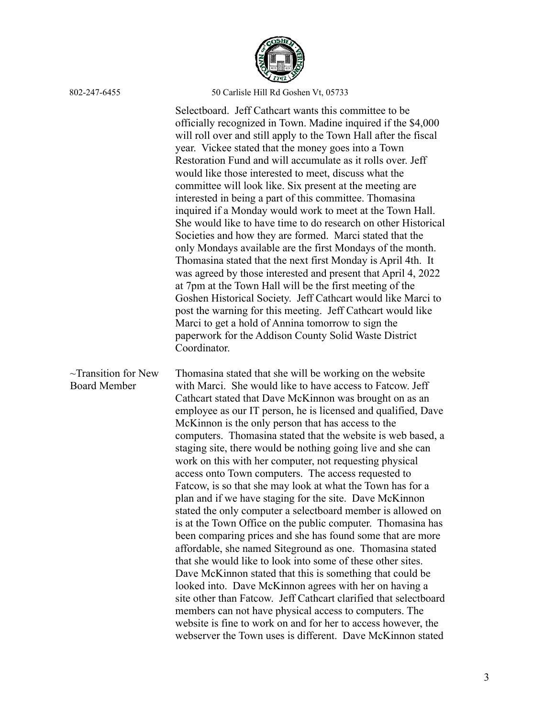

 $\sim$ Transition for New Board Member Selectboard. Jeff Cathcart wants this committee to be officially recognized in Town. Madine inquired if the \$4,000 will roll over and still apply to the Town Hall after the fiscal year. Vickee stated that the money goes into a Town Restoration Fund and will accumulate as it rolls over. Jeff would like those interested to meet, discuss what the committee will look like. Six present at the meeting are interested in being a part of this committee. Thomasina inquired if a Monday would work to meet at the Town Hall. She would like to have time to do research on other Historical Societies and how they are formed. Marci stated that the only Mondays available are the first Mondays of the month. Thomasina stated that the next first Monday is April 4th. It was agreed by those interested and present that April 4, 2022 at 7pm at the Town Hall will be the first meeting of the Goshen Historical Society. Jeff Cathcart would like Marci to post the warning for this meeting. Jeff Cathcart would like Marci to get a hold of Annina tomorrow to sign the paperwork for the Addison County Solid Waste District Coordinator. Thomasina stated that she will be working on the website with Marci. She would like to have access to Fatcow. Jeff Cathcart stated that Dave McKinnon was brought on as an employee as our IT person, he is licensed and qualified, Dave McKinnon is the only person that has access to the computers. Thomasina stated that the website is web based, a staging site, there would be nothing going live and she can work on this with her computer, not requesting physical access onto Town computers. The access requested to Fatcow, is so that she may look at what the Town has for a plan and if we have staging for the site. Dave McKinnon stated the only computer a selectboard member is allowed on is at the Town Office on the public computer. Thomasina has been comparing prices and she has found some that are more affordable, she named Siteground as one. Thomasina stated that she would like to look into some of these other sites. Dave McKinnon stated that this is something that could be looked into. Dave McKinnon agrees with her on having a site other than Fatcow. Jeff Cathcart clarified that selectboard members can not have physical access to computers. The website is fine to work on and for her to access however, the webserver the Town uses is different. Dave McKinnon stated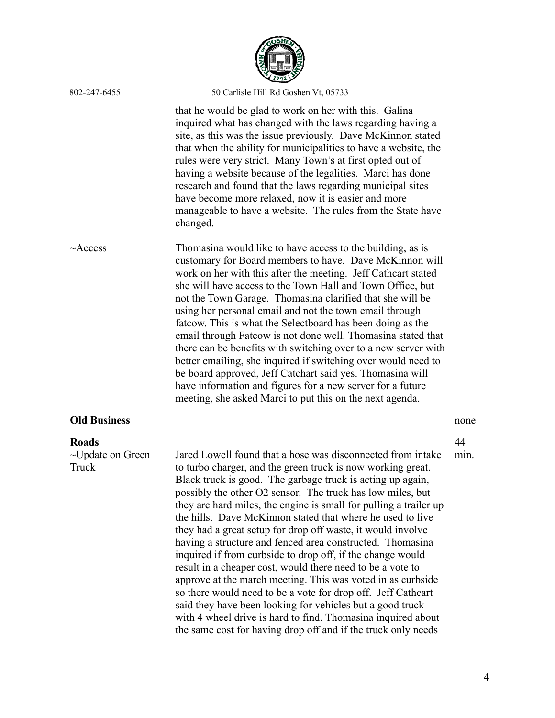| 802-247-6455                                    | 50 Carlisle Hill Rd Goshen Vt, 05733                                                                                                                                                                                                                                                                                                                                                                                                                                                                                                                                                                                                                                                                                                                                                                                                                                                                                                                                           |            |
|-------------------------------------------------|--------------------------------------------------------------------------------------------------------------------------------------------------------------------------------------------------------------------------------------------------------------------------------------------------------------------------------------------------------------------------------------------------------------------------------------------------------------------------------------------------------------------------------------------------------------------------------------------------------------------------------------------------------------------------------------------------------------------------------------------------------------------------------------------------------------------------------------------------------------------------------------------------------------------------------------------------------------------------------|------------|
|                                                 | that he would be glad to work on her with this. Galina<br>inquired what has changed with the laws regarding having a<br>site, as this was the issue previously. Dave McKinnon stated<br>that when the ability for municipalities to have a website, the<br>rules were very strict. Many Town's at first opted out of<br>having a website because of the legalities. Marci has done<br>research and found that the laws regarding municipal sites<br>have become more relaxed, now it is easier and more<br>manageable to have a website. The rules from the State have<br>changed.                                                                                                                                                                                                                                                                                                                                                                                             |            |
| $\sim$ Access                                   | Thomasina would like to have access to the building, as is<br>customary for Board members to have. Dave McKinnon will<br>work on her with this after the meeting. Jeff Cathcart stated<br>she will have access to the Town Hall and Town Office, but<br>not the Town Garage. Thomasina clarified that she will be<br>using her personal email and not the town email through<br>fatcow. This is what the Selectboard has been doing as the<br>email through Fatcow is not done well. Thomasina stated that<br>there can be benefits with switching over to a new server with<br>better emailing, she inquired if switching over would need to<br>be board approved, Jeff Catchart said yes. Thomasina will<br>have information and figures for a new server for a future<br>meeting, she asked Marci to put this on the next agenda.                                                                                                                                           |            |
| <b>Old Business</b>                             |                                                                                                                                                                                                                                                                                                                                                                                                                                                                                                                                                                                                                                                                                                                                                                                                                                                                                                                                                                                | none       |
| <b>Roads</b><br>$\sim$ Update on Green<br>Truck | Jared Lowell found that a hose was disconnected from intake<br>to turbo charger, and the green truck is now working great.<br>Black truck is good. The garbage truck is acting up again,<br>possibly the other O2 sensor. The truck has low miles, but<br>they are hard miles, the engine is small for pulling a trailer up<br>the hills. Dave McKinnon stated that where he used to live<br>they had a great setup for drop off waste, it would involve<br>having a structure and fenced area constructed. Thomasina<br>inquired if from curbside to drop off, if the change would<br>result in a cheaper cost, would there need to be a vote to<br>approve at the march meeting. This was voted in as curbside<br>so there would need to be a vote for drop off. Jeff Cathcart<br>said they have been looking for vehicles but a good truck<br>with 4 wheel drive is hard to find. Thomasina inquired about<br>the same cost for having drop off and if the truck only needs | 44<br>min. |

COSHIA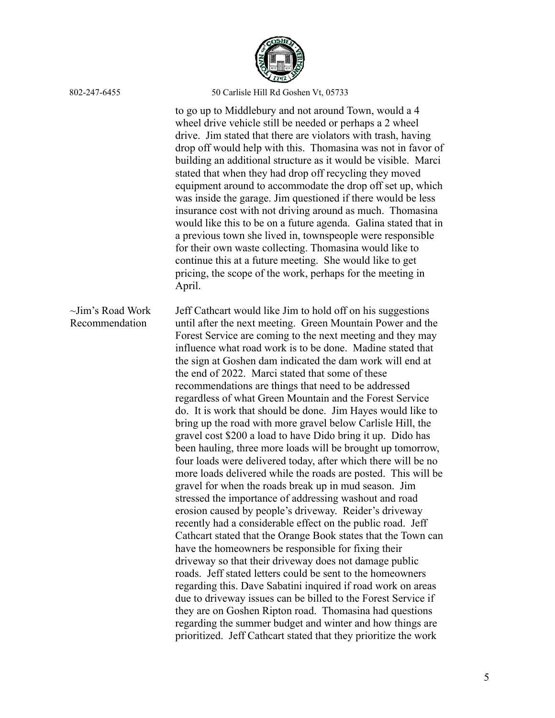

to go up to Middlebury and not around Town, would a 4 wheel drive vehicle still be needed or perhaps a 2 wheel drive. Jim stated that there are violators with trash, having drop off would help with this. Thomasina was not in favor of building an additional structure as it would be visible. Marci stated that when they had drop off recycling they moved equipment around to accommodate the drop off set up, which was inside the garage. Jim questioned if there would be less insurance cost with not driving around as much. Thomasina would like this to be on a future agenda. Galina stated that in a previous town she lived in, townspeople were responsible for their own waste collecting. Thomasina would like to continue this at a future meeting. She would like to get pricing, the scope of the work, perhaps for the meeting in April.

~Jim's Road Work Recommendation Jeff Cathcart would like Jim to hold off on his suggestions until after the next meeting. Green Mountain Power and the Forest Service are coming to the next meeting and they may influence what road work is to be done. Madine stated that the sign at Goshen dam indicated the dam work will end at the end of 2022. Marci stated that some of these recommendations are things that need to be addressed regardless of what Green Mountain and the Forest Service do. It is work that should be done. Jim Hayes would like to bring up the road with more gravel below Carlisle Hill, the gravel cost \$200 a load to have Dido bring it up. Dido has been hauling, three more loads will be brought up tomorrow, four loads were delivered today, after which there will be no more loads delivered while the roads are posted. This will be gravel for when the roads break up in mud season. Jim stressed the importance of addressing washout and road erosion caused by people's driveway. Reider's driveway recently had a considerable effect on the public road. Jeff Cathcart stated that the Orange Book states that the Town can have the homeowners be responsible for fixing their driveway so that their driveway does not damage public roads. Jeff stated letters could be sent to the homeowners regarding this. Dave Sabatini inquired if road work on areas due to driveway issues can be billed to the Forest Service if they are on Goshen Ripton road. Thomasina had questions regarding the summer budget and winter and how things are prioritized. Jeff Cathcart stated that they prioritize the work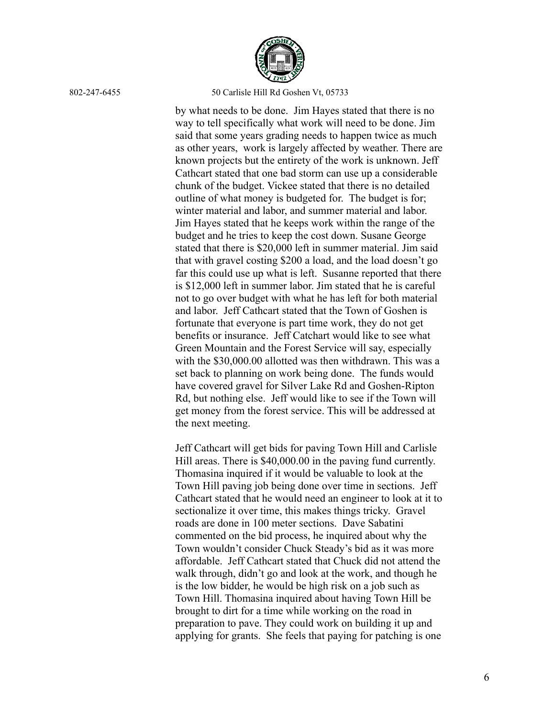

by what needs to be done. Jim Hayes stated that there is no way to tell specifically what work will need to be done. Jim said that some years grading needs to happen twice as much as other years, work is largely affected by weather. There are known projects but the entirety of the work is unknown. Jeff Cathcart stated that one bad storm can use up a considerable chunk of the budget. Vickee stated that there is no detailed outline of what money is budgeted for. The budget is for; winter material and labor, and summer material and labor. Jim Hayes stated that he keeps work within the range of the budget and he tries to keep the cost down. Susane George stated that there is \$20,000 left in summer material. Jim said that with gravel costing \$200 a load, and the load doesn't go far this could use up what is left. Susanne reported that there is \$12,000 left in summer labor. Jim stated that he is careful not to go over budget with what he has left for both material and labor. Jeff Cathcart stated that the Town of Goshen is fortunate that everyone is part time work, they do not get benefits or insurance. Jeff Catchart would like to see what Green Mountain and the Forest Service will say, especially with the \$30,000.00 allotted was then withdrawn. This was a set back to planning on work being done. The funds would have covered gravel for Silver Lake Rd and Goshen-Ripton Rd, but nothing else. Jeff would like to see if the Town will get money from the forest service. This will be addressed at the next meeting.

Jeff Cathcart will get bids for paving Town Hill and Carlisle Hill areas. There is \$40,000.00 in the paving fund currently. Thomasina inquired if it would be valuable to look at the Town Hill paving job being done over time in sections. Jeff Cathcart stated that he would need an engineer to look at it to sectionalize it over time, this makes things tricky. Gravel roads are done in 100 meter sections. Dave Sabatini commented on the bid process, he inquired about why the Town wouldn't consider Chuck Steady's bid as it was more affordable. Jeff Cathcart stated that Chuck did not attend the walk through, didn't go and look at the work, and though he is the low bidder, he would be high risk on a job such as Town Hill. Thomasina inquired about having Town Hill be brought to dirt for a time while working on the road in preparation to pave. They could work on building it up and applying for grants. She feels that paying for patching is one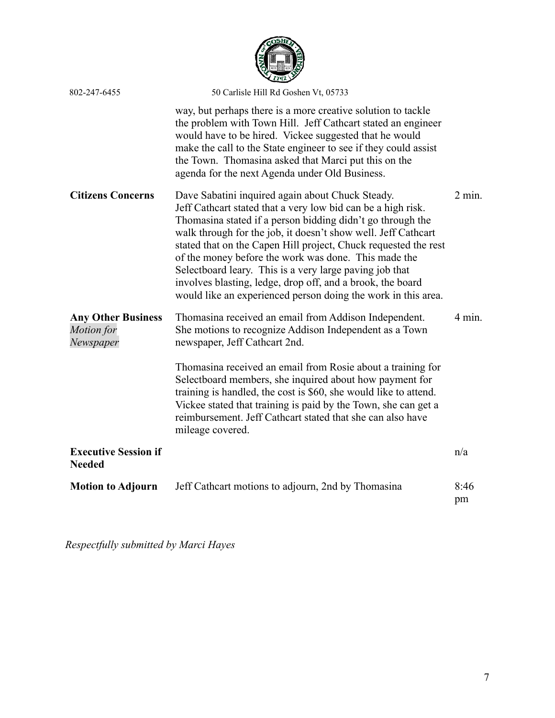

| 802-247-6455                                         | 50 Carlisle Hill Rd Goshen Vt, 05733                                                                                                                                                                                                                                                                                                                                                                                                                                                                                                                                 |            |
|------------------------------------------------------|----------------------------------------------------------------------------------------------------------------------------------------------------------------------------------------------------------------------------------------------------------------------------------------------------------------------------------------------------------------------------------------------------------------------------------------------------------------------------------------------------------------------------------------------------------------------|------------|
|                                                      | way, but perhaps there is a more creative solution to tackle<br>the problem with Town Hill. Jeff Cathcart stated an engineer<br>would have to be hired. Vickee suggested that he would<br>make the call to the State engineer to see if they could assist<br>the Town. Thomasina asked that Marci put this on the<br>agenda for the next Agenda under Old Business.                                                                                                                                                                                                  |            |
| <b>Citizens Concerns</b>                             | Dave Sabatini inquired again about Chuck Steady.<br>Jeff Cathcart stated that a very low bid can be a high risk.<br>Thomasina stated if a person bidding didn't go through the<br>walk through for the job, it doesn't show well. Jeff Cathcart<br>stated that on the Capen Hill project, Chuck requested the rest<br>of the money before the work was done. This made the<br>Selectboard leary. This is a very large paving job that<br>involves blasting, ledge, drop off, and a brook, the board<br>would like an experienced person doing the work in this area. | $2$ min.   |
| <b>Any Other Business</b><br>Motion for<br>Newspaper | Thomasina received an email from Addison Independent.<br>She motions to recognize Addison Independent as a Town<br>newspaper, Jeff Cathcart 2nd.<br>Thomasina received an email from Rosie about a training for<br>Selectboard members, she inquired about how payment for<br>training is handled, the cost is \$60, she would like to attend.<br>Vickee stated that training is paid by the Town, she can get a<br>reimbursement. Jeff Cathcart stated that she can also have<br>mileage covered.                                                                   | $4$ min.   |
| <b>Executive Session if</b><br><b>Needed</b>         |                                                                                                                                                                                                                                                                                                                                                                                                                                                                                                                                                                      | n/a        |
| <b>Motion to Adjourn</b>                             | Jeff Cathcart motions to adjourn, 2nd by Thomasina                                                                                                                                                                                                                                                                                                                                                                                                                                                                                                                   | 8:46<br>pm |

*Respectfully submitted by Marci Hayes*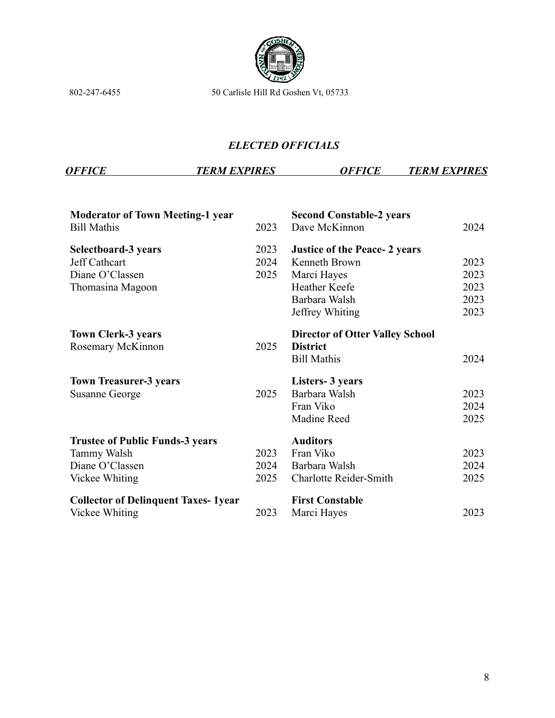

## *ELECTED OFFICIALS*

*OFFICE TERM EXPIRES OFFICE TERM EXPIRES*

| 2023 | <b>Second Constable-2 years</b><br>Dave McKinnon          | 2024 |
|------|-----------------------------------------------------------|------|
| 2023 | <b>Justice of the Peace-2 years</b>                       |      |
| 2024 | Kenneth Brown                                             | 2023 |
| 2025 | Marci Hayes                                               | 2023 |
|      | <b>Heather Keefe</b>                                      | 2023 |
|      | Barbara Walsh                                             | 2023 |
|      | Jeffrey Whiting                                           | 2023 |
| 2025 | <b>Director of Otter Valley School</b><br><b>District</b> |      |
|      | <b>Bill Mathis</b>                                        | 2024 |
|      | <b>Listers-3 years</b>                                    |      |
| 2025 | Barbara Walsh                                             | 2023 |
|      | Fran Viko                                                 | 2024 |
|      | Madine Reed                                               | 2025 |
|      | <b>Auditors</b>                                           |      |
| 2023 | Fran Viko                                                 | 2023 |
| 2024 | Barbara Walsh                                             | 2024 |
| 2025 | <b>Charlotte Reider-Smith</b>                             | 2025 |
|      | <b>First Constable</b>                                    |      |
| 2023 | Marci Hayes                                               | 2023 |
|      |                                                           |      |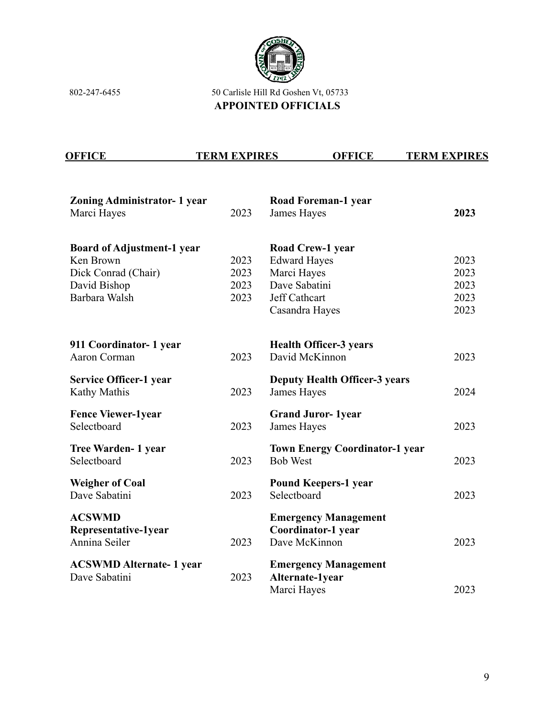

802-247-6455 50 Carlisle Hill Rd Goshen Vt, 05733 **APPOINTED OFFICIALS**

| <b>OFFICE</b> | <b>TERM EXPIRES</b> | OFFICE | <b>TERM EXPIRES</b> |
|---------------|---------------------|--------|---------------------|
|               |                     |        |                     |

| <b>Zoning Administrator- 1 year</b> |      | <b>Road Foreman-1 year</b>            |      |
|-------------------------------------|------|---------------------------------------|------|
| Marci Hayes                         | 2023 | James Hayes                           | 2023 |
|                                     |      |                                       |      |
| <b>Board of Adjustment-1 year</b>   |      | <b>Road Crew-1 year</b>               |      |
| Ken Brown                           | 2023 | <b>Edward Hayes</b>                   | 2023 |
| Dick Conrad (Chair)                 | 2023 | Marci Hayes                           | 2023 |
| David Bishop                        | 2023 | Dave Sabatini                         | 2023 |
| Barbara Walsh                       | 2023 | Jeff Cathcart                         | 2023 |
|                                     |      | Casandra Hayes                        | 2023 |
| 911 Coordinator- 1 year             |      | <b>Health Officer-3 years</b>         |      |
| <b>Aaron Corman</b>                 | 2023 | David McKinnon                        | 2023 |
|                                     |      |                                       |      |
| <b>Service Officer-1 year</b>       |      | <b>Deputy Health Officer-3 years</b>  |      |
| Kathy Mathis                        | 2023 | James Hayes                           | 2024 |
| <b>Fence Viewer-1year</b>           |      | <b>Grand Juror-1year</b>              |      |
| Selectboard                         | 2023 | James Hayes                           | 2023 |
| <b>Tree Warden- 1 year</b>          |      | <b>Town Energy Coordinator-1 year</b> |      |
| Selectboard                         | 2023 | <b>Bob West</b>                       | 2023 |
|                                     |      |                                       |      |
| <b>Weigher of Coal</b>              |      | <b>Pound Keepers-1 year</b>           |      |
| Dave Sabatini                       | 2023 | Selectboard                           | 2023 |
| <b>ACSWMD</b>                       |      | <b>Emergency Management</b>           |      |
| Representative-1year                |      | Coordinator-1 year                    |      |
| Annina Seiler                       | 2023 | Dave McKinnon                         | 2023 |
|                                     |      |                                       |      |
| <b>ACSWMD Alternate-1 year</b>      |      | <b>Emergency Management</b>           |      |
| Dave Sabatini                       | 2023 | Alternate-1year                       |      |
|                                     |      | Marci Hayes                           | 2023 |